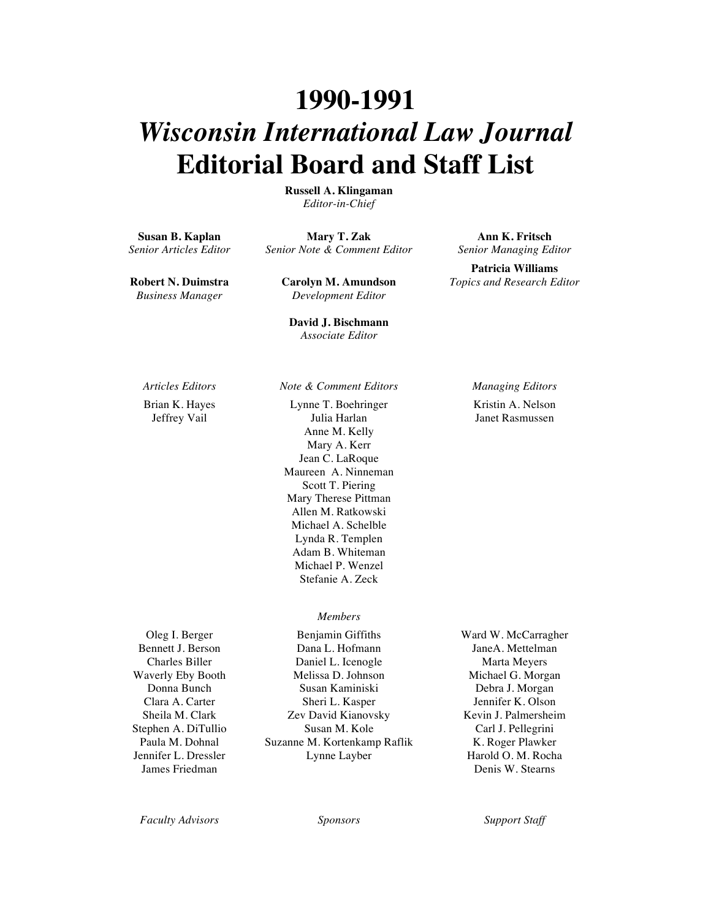## **1990-1991** *Wisconsin International Law Journal* **Editorial Board and Staff List**

**Russell A. Klingaman** *Editor-in-Chief*

**Susan B. Kaplan** *Senior Articles Editor*

**Mary T. Zak** *Senior Note & Comment Editor*

**Robert N. Duimstra** *Business Manager*

**Carolyn M. Amundson** *Development Editor*

**David J. Bischmann** *Associate Editor*

Brian K. Hayes Jeffrey Vail

Lynne T. Boehringer Julia Harlan Anne M. Kelly Mary A. Kerr Jean C. LaRoque Maureen A. Ninneman Scott T. Piering Mary Therese Pittman Allen M. Ratkowski Michael A. Schelble Lynda R. Templen Adam B. Whiteman Michael P. Wenzel Stefanie A. Zeck

## *Members*

Oleg I. Berger Bennett J. Berson Charles Biller Waverly Eby Booth Donna Bunch Clara A. Carter Sheila M. Clark Stephen A. DiTullio Paula M. Dohnal Jennifer L. Dressler James Friedman

Benjamin Giffiths Dana L. Hofmann Daniel L. Icenogle Melissa D. Johnson Susan Kaminiski Sheri L. Kasper Zev David Kianovsky Susan M. Kole Suzanne M. Kortenkamp Raflik Lynne Layber

**Ann K. Fritsch** *Senior Managing Editor*

**Patricia Williams** *Topics and Research Editor*

*Articles Editors Note & Comment Editors Managing Editors* Kristin A. Nelson Janet Rasmussen

> Ward W. McCarragher JaneA. Mettelman Marta Meyers Michael G. Morgan Debra J. Morgan Jennifer K. Olson Kevin J. Palmersheim Carl J. Pellegrini K. Roger Plawker Harold O. M. Rocha Denis W. Stearns

*Faculty Advisors Sponsors Support Staff*